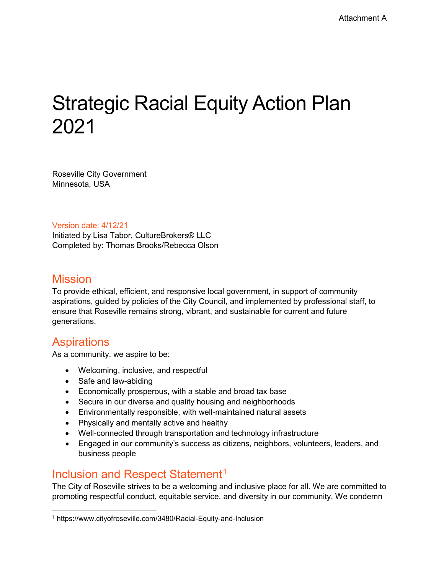# Strategic Racial Equity Action Plan 2021

Roseville City Government Minnesota, USA

Version date: 4/12/21

Initiated by Lisa Tabor, CultureBrokers® LLC Completed by: Thomas Brooks/Rebecca Olson

#### **Mission**

To provide ethical, efficient, and responsive local government, in support of community aspirations, guided by policies of the City Council, and implemented by professional staff, to ensure that Roseville remains strong, vibrant, and sustainable for current and future generations.

# **Aspirations**

As a community, we aspire to be:

- Welcoming, inclusive, and respectful
- Safe and law-abiding
- Economically prosperous, with a stable and broad tax base
- Secure in our diverse and quality housing and neighborhoods
- Environmentally responsible, with well-maintained natural assets
- Physically and mentally active and healthy
- Well-connected through transportation and technology infrastructure
- Engaged in our community's success as citizens, neighbors, volunteers, leaders, and business people

# Inclusion and Respect Statement<sup>[1](#page-0-0)</sup>

The City of Roseville strives to be a welcoming and inclusive place for all. We are committed to promoting respectful conduct, equitable service, and diversity in our community. We condemn

<span id="page-0-0"></span><sup>1</sup> https://www.cityofroseville.com/3480/Racial-Equity-and-Inclusion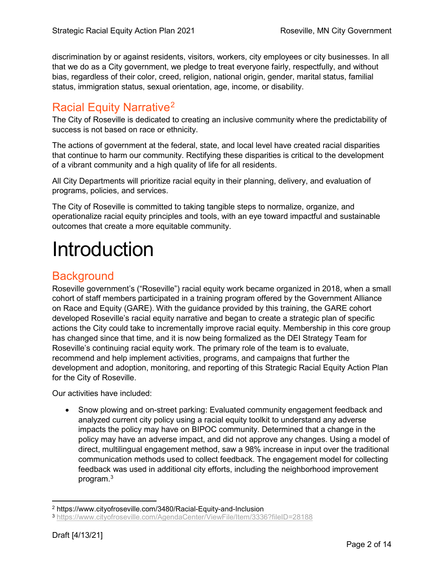discrimination by or against residents, visitors, workers, city employees or city businesses. In all that we do as a City government, we pledge to treat everyone fairly, respectfully, and without bias, regardless of their color, creed, religion, national origin, gender, marital status, familial status, immigration status, sexual orientation, age, income, or disability.

# Racial Equity Narrative[2](#page-1-0)

The City of Roseville is dedicated to creating an inclusive community where the predictability of success is not based on race or ethnicity.

The actions of government at the federal, state, and local level have created racial disparities that continue to harm our community. Rectifying these disparities is critical to the development of a vibrant community and a high quality of life for all residents.

All City Departments will prioritize racial equity in their planning, delivery, and evaluation of programs, policies, and services.

The City of Roseville is committed to taking tangible steps to normalize, organize, and operationalize racial equity principles and tools, with an eye toward impactful and sustainable outcomes that create a more equitable community.

# Introduction

# **Background**

Roseville government's ("Roseville") racial equity work became organized in 2018, when a small cohort of staff members participated in a training program offered by the Government Alliance on Race and Equity (GARE). With the guidance provided by this training, the GARE cohort developed Roseville's racial equity narrative and began to create a strategic plan of specific actions the City could take to incrementally improve racial equity. Membership in this core group has changed since that time, and it is now being formalized as the DEI Strategy Team for Roseville's continuing racial equity work. The primary role of the team is to evaluate, recommend and help implement activities, programs, and campaigns that further the development and adoption, monitoring, and reporting of this Strategic Racial Equity Action Plan for the City of Roseville.

Our activities have included:

• Snow plowing and on-street parking: Evaluated community engagement feedback and analyzed current city policy using a racial equity toolkit to understand any adverse impacts the policy may have on BIPOC community. Determined that a change in the policy may have an adverse impact, and did not approve any changes. Using a model of direct, multilingual engagement method, saw a 98% increase in input over the traditional communication methods used to collect feedback. The engagement model for collecting feedback was used in additional city efforts, including the neighborhood improvement program.<sup>[3](#page-1-1)</sup>

 <sup>2</sup> https://www.cityofroseville.com/3480/Racial-Equity-and-Inclusion

<span id="page-1-1"></span><span id="page-1-0"></span><sup>3</sup> <https://www.cityofroseville.com/AgendaCenter/ViewFile/Item/3336?fileID=28188>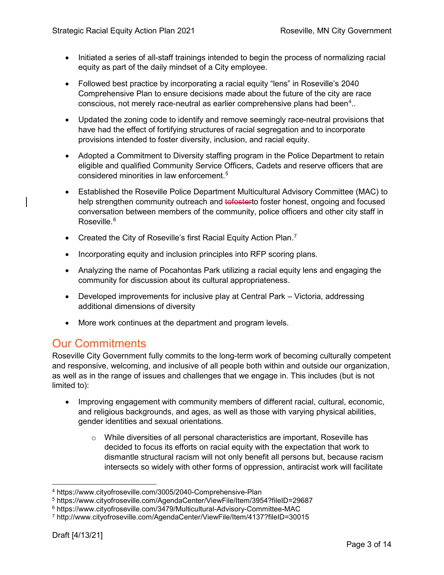- Initiated a series of all-staff trainings intended to begin the process of normalizing racial equity as part of the daily mindset of a City employee.
- Followed best practice by incorporating a racial equity "lens" in Roseville's 2040 Comprehensive Plan to ensure decisions made about the future of the city are race conscious, not merely race-neutral as earlier comprehensive plans had been $\hbox{}^4..$  $\hbox{}^4..$  $\hbox{}^4..$
- Updated the zoning code to identify and remove seemingly race-neutral provisions that have had the effect of fortifying structures of racial segregation and to incorporate provisions intended to foster diversity, inclusion, and racial equity.
- Adopted a Commitment to Diversity staffing program in the Police Department to retain eligible and qualified Community Service Officers, Cadets and reserve officers that are considered minorities in law enforcement.[5](#page-2-1)
- Established the Roseville Police Department Multicultural Advisory Committee (MAC) to help strengthen community outreach and tofosterto foster honest, ongoing and focused conversation between members of the community, police officers and other city staff in Roseville.<sup>[6](#page-2-2)</sup>
- Created the City of Roseville's first Racial Equity Action Plan.<sup>[7](#page-2-3)</sup>
- Incorporating equity and inclusion principles into RFP scoring plans.
- Analyzing the name of Pocahontas Park utilizing a racial equity lens and engaging the community for discussion about its cultural appropriateness.
- Developed improvements for inclusive play at Central Park Victoria, addressing additional dimensions of diversity
- More work continues at the department and program levels.

# Our Commitments

Roseville City Government fully commits to the long-term work of becoming culturally competent and responsive, welcoming, and inclusive of all people both within and outside our organization, as well as in the range of issues and challenges that we engage in. This includes (but is not limited to):

- Improving engagement with community members of different racial, cultural, economic, and religious backgrounds, and ages, as well as those with varying physical abilities, gender identities and sexual orientations.
	- $\circ$  While diversities of all personal characteristics are important, Roseville has decided to focus its efforts on racial equity with the expectation that work to dismantle structural racism will not only benefit all persons but, because racism intersects so widely with other forms of oppression, antiracist work will facilitate

<span id="page-2-0"></span> <sup>4</sup> https://www.cityofroseville.com/3005/2040-Comprehensive-Plan

<span id="page-2-1"></span><sup>5</sup> https://www.cityofroseville.com/AgendaCenter/ViewFile/Item/3954?fileID=29687

<span id="page-2-2"></span><sup>6</sup> https://www.cityofroseville.com/3479/Multicultural-Advisory-Committee-MAC

<span id="page-2-3"></span><sup>7</sup> http://www.cityofroseville.com/AgendaCenter/ViewFile/Item/4137?fileID=30015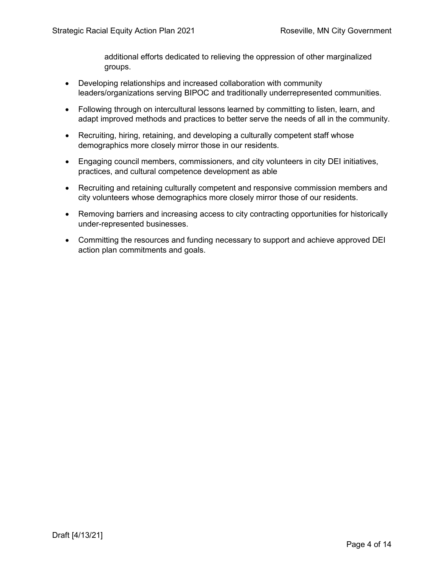additional efforts dedicated to relieving the oppression of other marginalized groups.

- Developing relationships and increased collaboration with community leaders/organizations serving BIPOC and traditionally underrepresented communities.
- Following through on intercultural lessons learned by committing to listen, learn, and adapt improved methods and practices to better serve the needs of all in the community.
- Recruiting, hiring, retaining, and developing a culturally competent staff whose demographics more closely mirror those in our residents.
- Engaging council members, commissioners, and city volunteers in city DEI initiatives, practices, and cultural competence development as able
- Recruiting and retaining culturally competent and responsive commission members and city volunteers whose demographics more closely mirror those of our residents.
- Removing barriers and increasing access to city contracting opportunities for historically under-represented businesses.
- Committing the resources and funding necessary to support and achieve approved DEI action plan commitments and goals.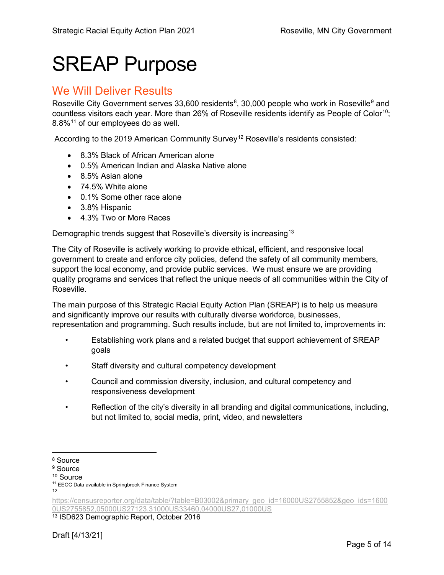# SREAP Purpose

#### We Will Deliver Results

Roseville City Government serves 33,600 residents $^8$  $^8$ , 30,000 people who work in Roseville $^9$  $^9$  and countless visitors each year. More than 26% of Roseville residents identify as People of Color<sup>[10](#page-4-2)</sup>; 8.8%[11](#page-4-3) of our employees do as well.

According to the 2019 American Community Survey<sup>[12](#page-4-4)</sup> Roseville's residents consisted:

- 8.3% Black of African American alone
- 0.5% American Indian and Alaska Native alone
- 8.5% Asian alone
- 74.5% White alone
- 0.1% Some other race alone
- 3.8% Hispanic
- 4.3% Two or More Races

Demographic trends suggest that Roseville's diversity is increasing<sup>[13](#page-4-5)</sup>

The City of Roseville is actively working to provide ethical, efficient, and responsive local government to create and enforce city policies, defend the safety of all community members, support the local economy, and provide public services. We must ensure we are providing quality programs and services that reflect the unique needs of all communities within the City of Roseville.

The main purpose of this Strategic Racial Equity Action Plan (SREAP) is to help us measure and significantly improve our results with culturally diverse workforce, businesses, representation and programming. Such results include, but are not limited to, improvements in:

- Establishing work plans and a related budget that support achievement of SREAP goals
- Staff diversity and cultural competency development
- Council and commission diversity, inclusion, and cultural competency and responsiveness development
- Reflection of the city's diversity in all branding and digital communications, including, but not limited to, social media, print, video, and newsletters

<span id="page-4-5"></span><sup>13</sup> ISD623 Demographic Report, October 2016

<span id="page-4-0"></span> <sup>8</sup> Source

<span id="page-4-1"></span><sup>&</sup>lt;sup>9</sup> Source

<span id="page-4-2"></span><sup>10</sup> Source

<span id="page-4-3"></span><sup>&</sup>lt;sup>11</sup> EEOC Data available in Springbrook Finance System

<sup>12</sup>

<span id="page-4-4"></span>[https://censusreporter.org/data/table/?table=B03002&primary\\_geo\\_id=16000US2755852&geo\\_ids=1600](https://censusreporter.org/data/table/?table=B03002&primary_geo_id=16000US2755852&geo_ids=16000US2755852,05000US27123,31000US33460,04000US27,01000US) [0US2755852,05000US27123,31000US33460,04000US27,01000US](https://censusreporter.org/data/table/?table=B03002&primary_geo_id=16000US2755852&geo_ids=16000US2755852,05000US27123,31000US33460,04000US27,01000US)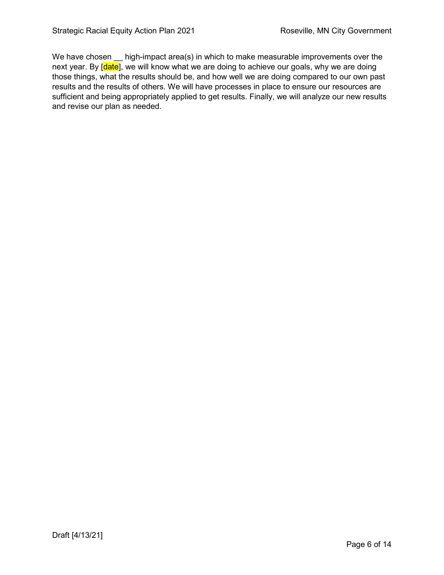We have chosen high-impact area(s) in which to make measurable improvements over the next year. By [date], we will know what we are doing to achieve our goals, why we are doing those things, what the results should be, and how well we are doing compared to our own past results and the results of others. We will have processes in place to ensure our resources are sufficient and being appropriately applied to get results. Finally, we will analyze our new results and revise our plan as needed.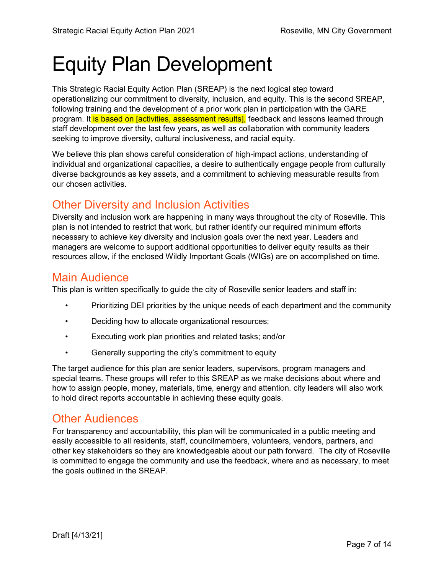# Equity Plan Development

This Strategic Racial Equity Action Plan (SREAP) is the next logical step toward operationalizing our commitment to diversity, inclusion, and equity. This is the second SREAP, following training and the development of a prior work plan in participation with the GARE program. It is based on [activities, assessment results], feedback and lessons learned through staff development over the last few years, as well as collaboration with community leaders seeking to improve diversity, cultural inclusiveness, and racial equity.

We believe this plan shows careful consideration of high-impact actions, understanding of individual and organizational capacities, a desire to authentically engage people from culturally diverse backgrounds as key assets, and a commitment to achieving measurable results from our chosen activities.

# Other Diversity and Inclusion Activities

Diversity and inclusion work are happening in many ways throughout the city of Roseville. This plan is not intended to restrict that work, but rather identify our required minimum efforts necessary to achieve key diversity and inclusion goals over the next year. Leaders and managers are welcome to support additional opportunities to deliver equity results as their resources allow, if the enclosed Wildly Important Goals (WIGs) are on accomplished on time.

#### Main Audience

This plan is written specifically to guide the city of Roseville senior leaders and staff in:

- Prioritizing DEI priorities by the unique needs of each department and the community
- Deciding how to allocate organizational resources;
- Executing work plan priorities and related tasks; and/or
- Generally supporting the city's commitment to equity

The target audience for this plan are senior leaders, supervisors, program managers and special teams. These groups will refer to this SREAP as we make decisions about where and how to assign people, money, materials, time, energy and attention. city leaders will also work to hold direct reports accountable in achieving these equity goals.

# Other Audiences

For transparency and accountability, this plan will be communicated in a public meeting and easily accessible to all residents, staff, councilmembers, volunteers, vendors, partners, and other key stakeholders so they are knowledgeable about our path forward. The city of Roseville is committed to engage the community and use the feedback, where and as necessary, to meet the goals outlined in the SREAP.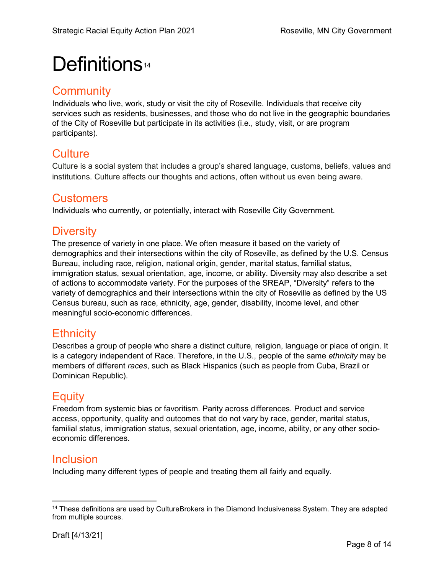# Definitions<sup>[14](#page-7-0)</sup>

# **Community**

Individuals who live, work, study or visit the city of Roseville. Individuals that receive city services such as residents, businesses, and those who do not live in the geographic boundaries of the City of Roseville but participate in its activities (i.e., study, visit, or are program participants).

# **Culture**

Culture is a social system that includes a group's shared language, customs, beliefs, values and institutions. Culture affects our thoughts and actions, often without us even being aware.

# **Customers**

Individuals who currently, or potentially, interact with Roseville City Government.

# **Diversity**

The presence of variety in one place. We often measure it based on the variety of demographics and their intersections within the city of Roseville, as defined by the U.S. Census Bureau, including race, religion, national origin, gender, marital status, familial status, immigration status, sexual orientation, age, income, or ability. Diversity may also describe a set of actions to accommodate variety. For the purposes of the SREAP, "Diversity" refers to the variety of demographics and their intersections within the city of Roseville as defined by the US Census bureau, such as race, ethnicity, age, gender, disability, income level, and other meaningful socio-economic differences.

# **Ethnicity**

Describes a group of people who share a distinct culture, religion, language or place of origin. It is a category independent of Race. Therefore, in the U.S., people of the same *ethnicity* may be members of different *races*, such as Black Hispanics (such as people from Cuba, Brazil or Dominican Republic).

# **Equity**

Freedom from systemic bias or favoritism. Parity across differences. Product and service access, opportunity, quality and outcomes that do not vary by race, gender, marital status, familial status, immigration status, sexual orientation, age, income, ability, or any other socioeconomic differences.

# Inclusion

Including many different types of people and treating them all fairly and equally.

<span id="page-7-0"></span><sup>&</sup>lt;sup>14</sup> These definitions are used by CultureBrokers in the Diamond Inclusiveness System. They are adapted from multiple sources.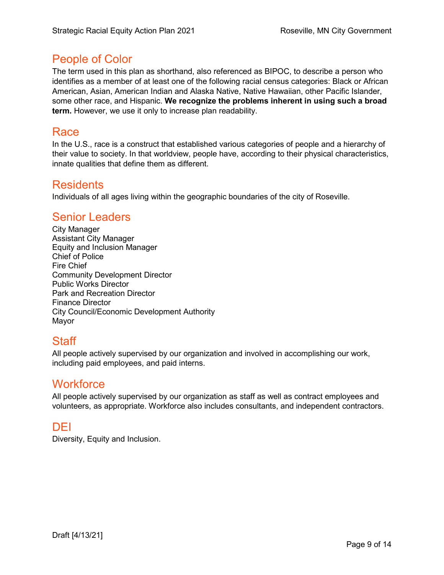### People of Color

The term used in this plan as shorthand, also referenced as BIPOC, to describe a person who identifies as a member of at least one of the following racial census categories: Black or African American, Asian, American Indian and Alaska Native, Native Hawaiian, other Pacific Islander, some other race, and Hispanic. **We recognize the problems inherent in using such a broad term.** However, we use it only to increase plan readability.

### Race

In the U.S., race is a construct that established various categories of people and a hierarchy of their value to society. In that worldview, people have, according to their physical characteristics, innate qualities that define them as different.

#### Residents

Individuals of all ages living within the geographic boundaries of the city of Roseville.

#### Senior Leaders

City Manager Assistant City Manager Equity and Inclusion Manager Chief of Police Fire Chief Community Development Director Public Works Director Park and Recreation Director Finance Director City Council/Economic Development Authority Mayor

# Staff

All people actively supervised by our organization and involved in accomplishing our work, including paid employees, and paid interns.

#### **Workforce**

All people actively supervised by our organization as staff as well as contract employees and volunteers, as appropriate. Workforce also includes consultants, and independent contractors.

# DEI

Diversity, Equity and Inclusion.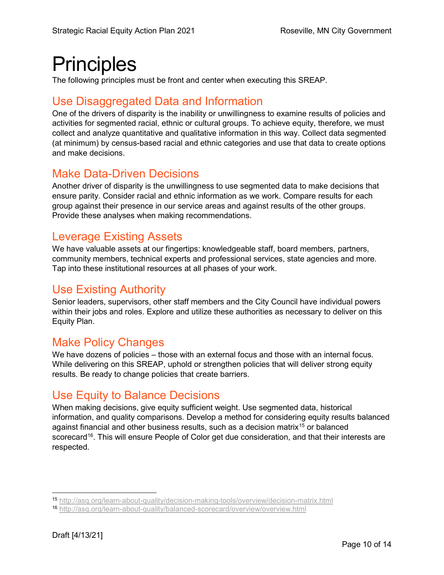# **Principles**

The following principles must be front and center when executing this SREAP.

# Use Disaggregated Data and Information

One of the drivers of disparity is the inability or unwillingness to examine results of policies and activities for segmented racial, ethnic or cultural groups. To achieve equity, therefore, we must collect and analyze quantitative and qualitative information in this way. Collect data segmented (at minimum) by census-based racial and ethnic categories and use that data to create options and make decisions.

# Make Data-Driven Decisions

Another driver of disparity is the unwillingness to use segmented data to make decisions that ensure parity. Consider racial and ethnic information as we work. Compare results for each group against their presence in our service areas and against results of the other groups. Provide these analyses when making recommendations.

# Leverage Existing Assets

We have valuable assets at our fingertips: knowledgeable staff, board members, partners, community members, technical experts and professional services, state agencies and more. Tap into these institutional resources at all phases of your work.

# Use Existing Authority

Senior leaders, supervisors, other staff members and the City Council have individual powers within their jobs and roles. Explore and utilize these authorities as necessary to deliver on this Equity Plan.

# Make Policy Changes

We have dozens of policies – those with an external focus and those with an internal focus. While delivering on this SREAP, uphold or strengthen policies that will deliver strong equity results. Be ready to change policies that create barriers.

# Use Equity to Balance Decisions

When making decisions, give equity sufficient weight. Use segmented data, historical information, and quality comparisons. Develop a method for considering equity results balanced against financial and other business results, such as a decision matrix<sup>[15](#page-9-0)</sup> or balanced scorecard<sup>16</sup>. This will ensure People of Color get due consideration, and that their interests are respected.

<span id="page-9-0"></span> <sup>15</sup> <http://asq.org/learn-about-quality/decision-making-tools/overview/decision-matrix.html>

<span id="page-9-1"></span><sup>16</sup> <http://asq.org/learn-about-quality/balanced-scorecard/overview/overview.html>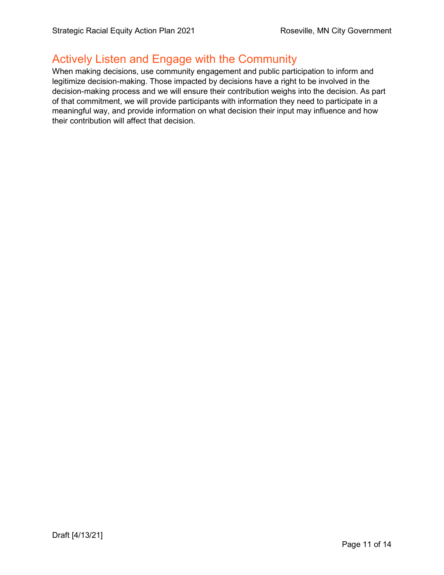### Actively Listen and Engage with the Community

When making decisions, use community engagement and public participation to inform and legitimize decision-making. Those impacted by decisions have a right to be involved in the decision-making process and we will ensure their contribution weighs into the decision. As part of that commitment, we will provide participants with information they need to participate in a meaningful way, and provide information on what decision their input may influence and how their contribution will affect that decision.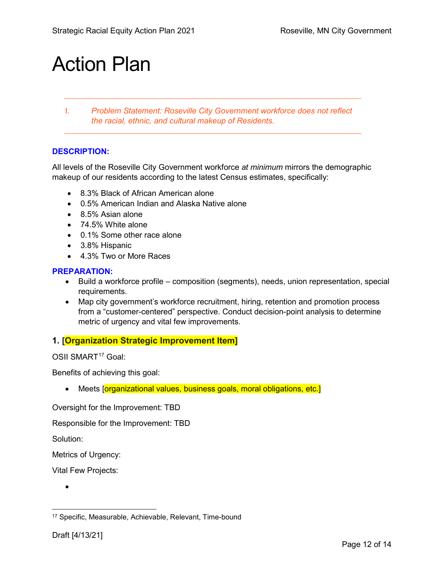# Action Plan

I. *Problem Statement: Roseville City Government workforce does not reflect the racial, ethnic, and cultural makeup of Residents.*

#### **DESCRIPTION:**

All levels of the Roseville City Government workforce *at minimum* mirrors the demographic makeup of our residents according to the latest Census estimates, specifically:

- 8.3% Black of African American alone
- 0.5% American Indian and Alaska Native alone
- 8.5% Asian alone
- 74.5% White alone
- 0.1% Some other race alone
- 3.8% Hispanic
- 4.3% Two or More Races

#### **PREPARATION:**

- Build a workforce profile composition (segments), needs, union representation, special requirements.
- Map city government's workforce recruitment, hiring, retention and promotion process from a "customer-centered" perspective. Conduct decision-point analysis to determine metric of urgency and vital few improvements.

#### **1. [Organization Strategic Improvement Item]**

OSII SMART<sup>[17](#page-11-0)</sup> Goal:

Benefits of achieving this goal:

• Meets [organizational values, business goals, moral obligations, etc.]

Oversight for the Improvement: TBD

Responsible for the Improvement: TBD

Solution:

Metrics of Urgency:

Vital Few Projects:

•

<span id="page-11-0"></span> <sup>17</sup> Specific, Measurable, Achievable, Relevant, Time-bound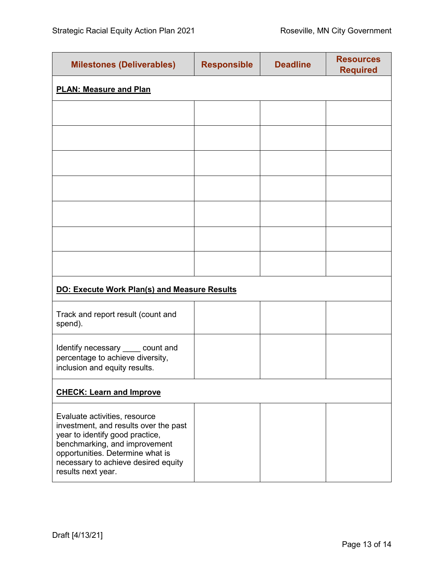| <b>Milestones (Deliverables)</b>                                                                                                                                                                                                            | <b>Responsible</b> | <b>Deadline</b> | <b>Resources</b><br><b>Required</b> |  |
|---------------------------------------------------------------------------------------------------------------------------------------------------------------------------------------------------------------------------------------------|--------------------|-----------------|-------------------------------------|--|
| <b>PLAN: Measure and Plan</b>                                                                                                                                                                                                               |                    |                 |                                     |  |
|                                                                                                                                                                                                                                             |                    |                 |                                     |  |
|                                                                                                                                                                                                                                             |                    |                 |                                     |  |
|                                                                                                                                                                                                                                             |                    |                 |                                     |  |
|                                                                                                                                                                                                                                             |                    |                 |                                     |  |
|                                                                                                                                                                                                                                             |                    |                 |                                     |  |
|                                                                                                                                                                                                                                             |                    |                 |                                     |  |
|                                                                                                                                                                                                                                             |                    |                 |                                     |  |
| <b>DO: Execute Work Plan(s) and Measure Results</b>                                                                                                                                                                                         |                    |                 |                                     |  |
| Track and report result (count and<br>spend).                                                                                                                                                                                               |                    |                 |                                     |  |
| Identify necessary _____ count and<br>percentage to achieve diversity,<br>inclusion and equity results.                                                                                                                                     |                    |                 |                                     |  |
| <b>CHECK: Learn and Improve</b>                                                                                                                                                                                                             |                    |                 |                                     |  |
| Evaluate activities, resource<br>investment, and results over the past<br>year to identify good practice,<br>benchmarking, and improvement<br>opportunities. Determine what is<br>necessary to achieve desired equity<br>results next year. |                    |                 |                                     |  |